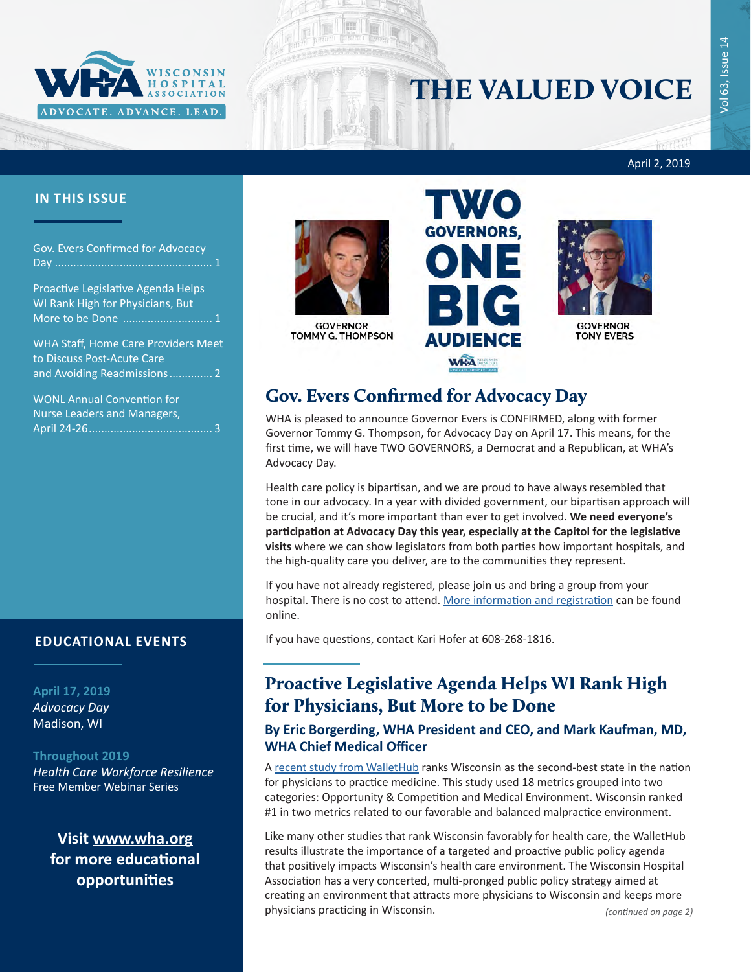

# THE VALUED VOICE

रसस April 2, 2019

#### **IN THIS ISSUE**

Gov. Evers Confirmed for Advocacy Day ................................................... 1

Proactive Legislative Agenda Helps WI Rank High for Physicians, But More to be Done ............................. 1

[WHA Staff, Home Care Providers Meet](#page-1-0)  [to Discuss Post-Acute Care](#page-1-0)  [and Avoiding Readmissions..............](#page-1-0) 2

[WONL Annual Convention for](#page-2-0)  [Nurse Leaders and Managers,](#page-2-0)  April 24-26[........................................](#page-2-0) 3

#### **EDUCATIONAL EVENTS**

**April 17, 2019** *[Advocacy Day](http://www.whareg4.org/AdvocacyDay2019/)* Madison, WI

#### **Throughout 2019**

*[Health Care Workforce Resilience](http://www.whareg4.org/WorkforceResilience/)* Free Member Webinar Series

**Visit [www.wha.org](https://www.wha.org) for more educational opportunities**



**GOVERNOR** TOMMY G. THOMPSON





GOVERNOR **TONY EVERS** 

## Gov. Evers Confirmed for Advocacy Day

WHA is pleased to announce Governor Evers is CONFIRMED, along with former Governor Tommy G. Thompson, for Advocacy Day on April 17. This means, for the first time, we will have TWO GOVERNORS, a Democrat and a Republican, at WHA's Advocacy Day.

Health care policy is bipartisan, and we are proud to have always resembled that tone in our advocacy. In a year with divided government, our bipartisan approach will be crucial, and it's more important than ever to get involved. **We need everyone's participation at Advocacy Day this year, especially at the Capitol for the legislative visits** where we can show legislators from both parties how important hospitals, and the high-quality care you deliver, are to the communities they represent.

If you have not already registered, please join us and bring a group from your hospital. There is no cost to attend. [More information and registration](http://www.whareg4.org/AdvocacyDay2019/) can be found online.

If you have questions, contact Kari Hofer at 608-268-1816.

### Proactive Legislative Agenda Helps WI Rank High for Physicians, But More to be Done

#### **By Eric Borgerding, WHA President and CEO, and Mark Kaufman, MD, WHA Chief Medical Officer**

A recent study [from WalletHub](https://wallethub.com/edu/best-and-worst-states-for-doctors/11376/#main-findings) ranks Wisconsin as the second-best state in the nation for physicians to practice medicine. This study used 18 metrics grouped into two categories: Opportunity & Competition and Medical Environment. Wisconsin ranked #1 in two metrics related to our favorable and balanced malpractice environment.

Like many other studies that rank Wisconsin favorably for health care, the WalletHub results illustrate the importance of a targeted and proactive public policy agenda that positively impacts Wisconsin's health care environment. The Wisconsin Hospital Association has a very concerted, multi-pronged public policy strategy aimed at creating an environment that attracts more physicians to Wisconsin and keeps more physicians practicing in Wisconsin. *(continued on page 2)*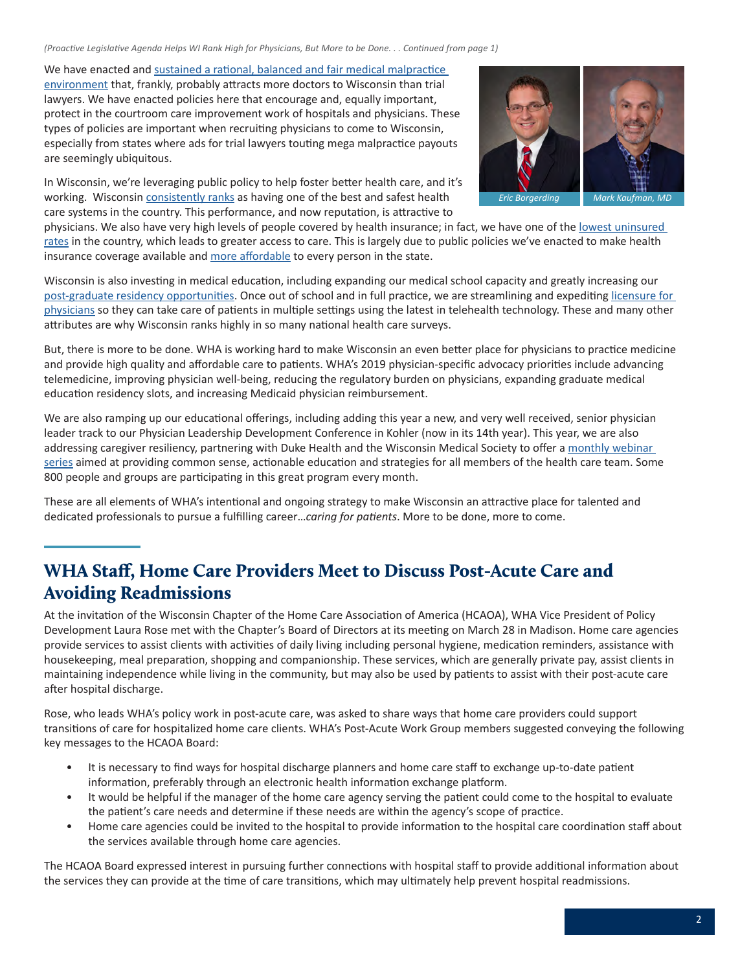<span id="page-1-0"></span>*(Proactive Legislative Agenda Helps WI Rank High for Physicians, But More to be Done. . . Continued from page 1)*

We have enacted and [sustained a rational, balanced and fair medical malpractice](https://www.wha.org/MediaRoom/WHAPressReleases/2018/WHAstatement6-27-18medliability)  [environment](https://www.wha.org/MediaRoom/WHAPressReleases/2018/WHAstatement6-27-18medliability) that, frankly, probably attracts more doctors to Wisconsin than trial lawyers. We have enacted policies here that encourage and, equally important, protect in the courtroom care improvement work of hospitals and physicians. These types of policies are important when recruiting physicians to come to Wisconsin, especially from states where ads for trial lawyers touting mega malpractice payouts are seemingly ubiquitous.

*Eric Borgerding Mark Kaufman* 

In Wisconsin, we're leveraging public policy to help foster better health care, and it's working. Wisconsin [consistently ranks](https://www.wha.org/MediaRoom/WHAPressReleases/2018/WHArelease-AHRQrankings_09-24-2018) as having one of the best and safest health care systems in the country. This performance, and now reputation, is attractive to

physicians. We also have very high levels of people covered by health insurance; in fact, we have one of the [lowest uninsured](https://www.census.gov/library/visualizations/interactive/health-insurance-coverage.html)  [rates](https://www.census.gov/library/visualizations/interactive/health-insurance-coverage.html) in the country, which leads to greater access to care. This is largely due to public policies we've enacted to make health insurance coverage available and [more affordable](https://www.wha.org/MediaRoom/WHAPressReleases/2018/WHAstatement7-29-18govhealthcarestabilityplan) to every person in the state.

Wisconsin is also investing in medical education, including expanding our medical school capacity and greatly increasing our [post-graduate residency opportunities](https://www.wha.org/MediaRoom/WHAPressReleases/2018/WHAnr5-11-18GMEgrants). Once out of school and in full practice, we are streamlining and expediting licensure for [physicians](https://www.wha.org/Home/Common-PDFs/nr12-14-15licensureCompact) so they can take care of patients in multiple settings using the latest in telehealth technology. These and many other attributes are why Wisconsin ranks highly in so many national health care surveys.

But, there is more to be done. WHA is working hard to make Wisconsin an even better place for physicians to practice medicine and provide high quality and affordable care to patients. WHA's 2019 physician-specific advocacy priorities include advancing telemedicine, improving physician well-being, reducing the regulatory burden on physicians, expanding graduate medical education residency slots, and increasing Medicaid physician reimbursement.

We are also ramping up our educational offerings, including adding this year a new, and very well received, senior physician leader track to our Physician Leadership Development Conference in Kohler (now in its 14th year). This year, we are also addressing caregiver resiliency, partnering with Duke Health and the Wisconsin Medical Society to offer a monthly webinar [series](http://www.whareg4.org/WorkforceResilience/) aimed at providing common sense, actionable education and strategies for all members of the health care team. Some 800 people and groups are participating in this great program every month.

These are all elements of WHA's intentional and ongoing strategy to make Wisconsin an attractive place for talented and dedicated professionals to pursue a fulfilling career…*caring for patients*. More to be done, more to come.

# WHA Staff, Home Care Providers Meet to Discuss Post-Acute Care and Avoiding Readmissions

At the invitation of the Wisconsin Chapter of the Home Care Association of America (HCAOA), WHA Vice President of Policy Development Laura Rose met with the Chapter's Board of Directors at its meeting on March 28 in Madison. Home care agencies provide services to assist clients with activities of daily living including personal hygiene, medication reminders, assistance with housekeeping, meal preparation, shopping and companionship. These services, which are generally private pay, assist clients in maintaining independence while living in the community, but may also be used by patients to assist with their post-acute care after hospital discharge.

Rose, who leads WHA's policy work in post-acute care, was asked to share ways that home care providers could support transitions of care for hospitalized home care clients. WHA's Post-Acute Work Group members suggested conveying the following key messages to the HCAOA Board:

- It is necessary to find ways for hospital discharge planners and home care staff to exchange up-to-date patient information, preferably through an electronic health information exchange platform.
- It would be helpful if the manager of the home care agency serving the patient could come to the hospital to evaluate the patient's care needs and determine if these needs are within the agency's scope of practice.
- Home care agencies could be invited to the hospital to provide information to the hospital care coordination staff about the services available through home care agencies.

The HCAOA Board expressed interest in pursuing further connections with hospital staff to provide additional information about the services they can provide at the time of care transitions, which may ultimately help prevent hospital readmissions.